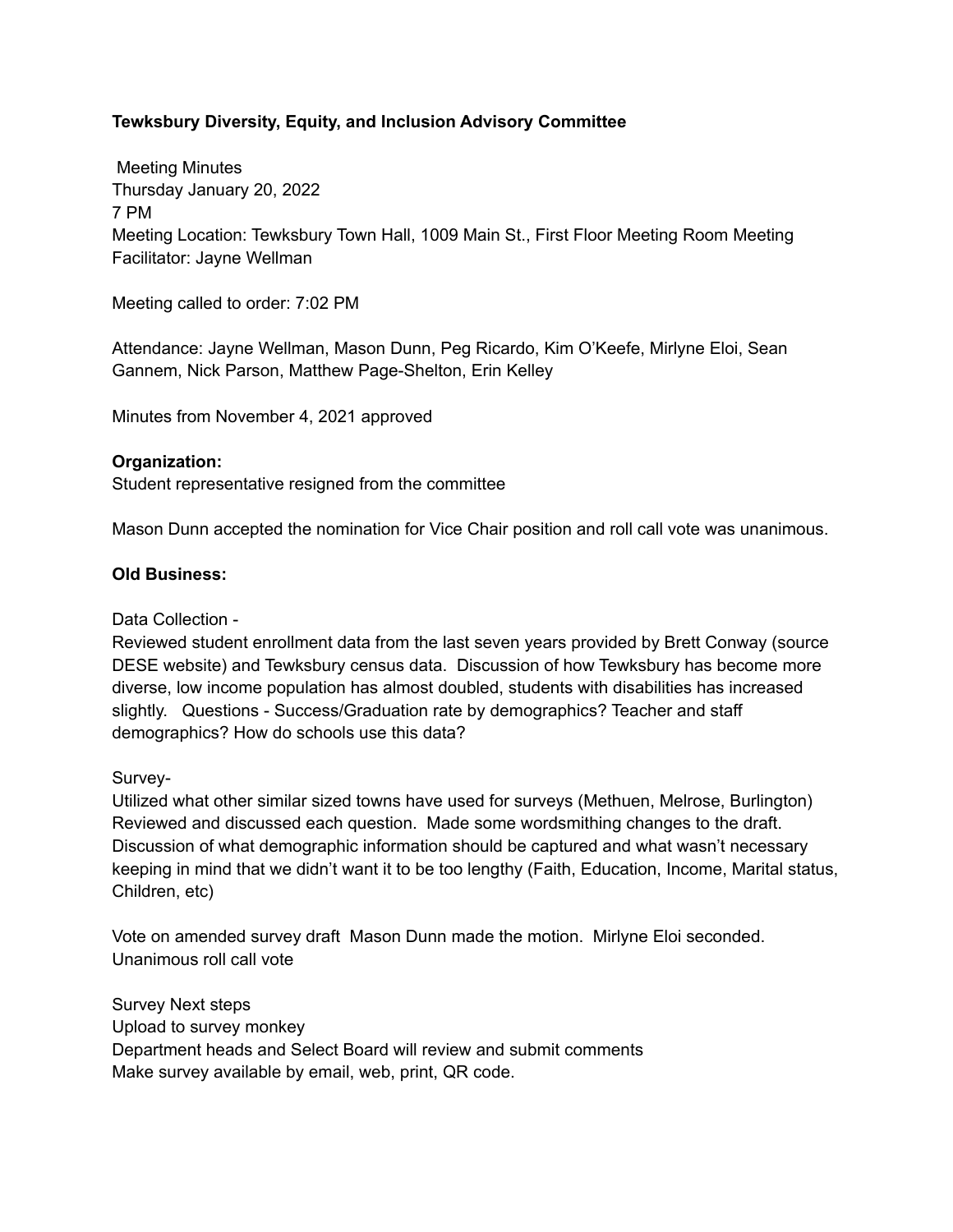# **Tewksbury Diversity, Equity, and Inclusion Advisory Committee**

Meeting Minutes Thursday January 20, 2022 7 PM Meeting Location: Tewksbury Town Hall, 1009 Main St., First Floor Meeting Room Meeting Facilitator: Jayne Wellman

Meeting called to order: 7:02 PM

Attendance: Jayne Wellman, Mason Dunn, Peg Ricardo, Kim O'Keefe, Mirlyne Eloi, Sean Gannem, Nick Parson, Matthew Page-Shelton, Erin Kelley

Minutes from November 4, 2021 approved

### **Organization:**

Student representative resigned from the committee

Mason Dunn accepted the nomination for Vice Chair position and roll call vote was unanimous.

### **Old Business:**

### Data Collection -

Reviewed student enrollment data from the last seven years provided by Brett Conway (source DESE website) and Tewksbury census data. Discussion of how Tewksbury has become more diverse, low income population has almost doubled, students with disabilities has increased slightly. Questions - Success/Graduation rate by demographics? Teacher and staff demographics? How do schools use this data?

Survey-

Utilized what other similar sized towns have used for surveys (Methuen, Melrose, Burlington) Reviewed and discussed each question. Made some wordsmithing changes to the draft. Discussion of what demographic information should be captured and what wasn't necessary keeping in mind that we didn't want it to be too lengthy (Faith, Education, Income, Marital status, Children, etc)

Vote on amended survey draft Mason Dunn made the motion. Mirlyne Eloi seconded. Unanimous roll call vote

Survey Next steps Upload to survey monkey Department heads and Select Board will review and submit comments Make survey available by email, web, print, QR code.